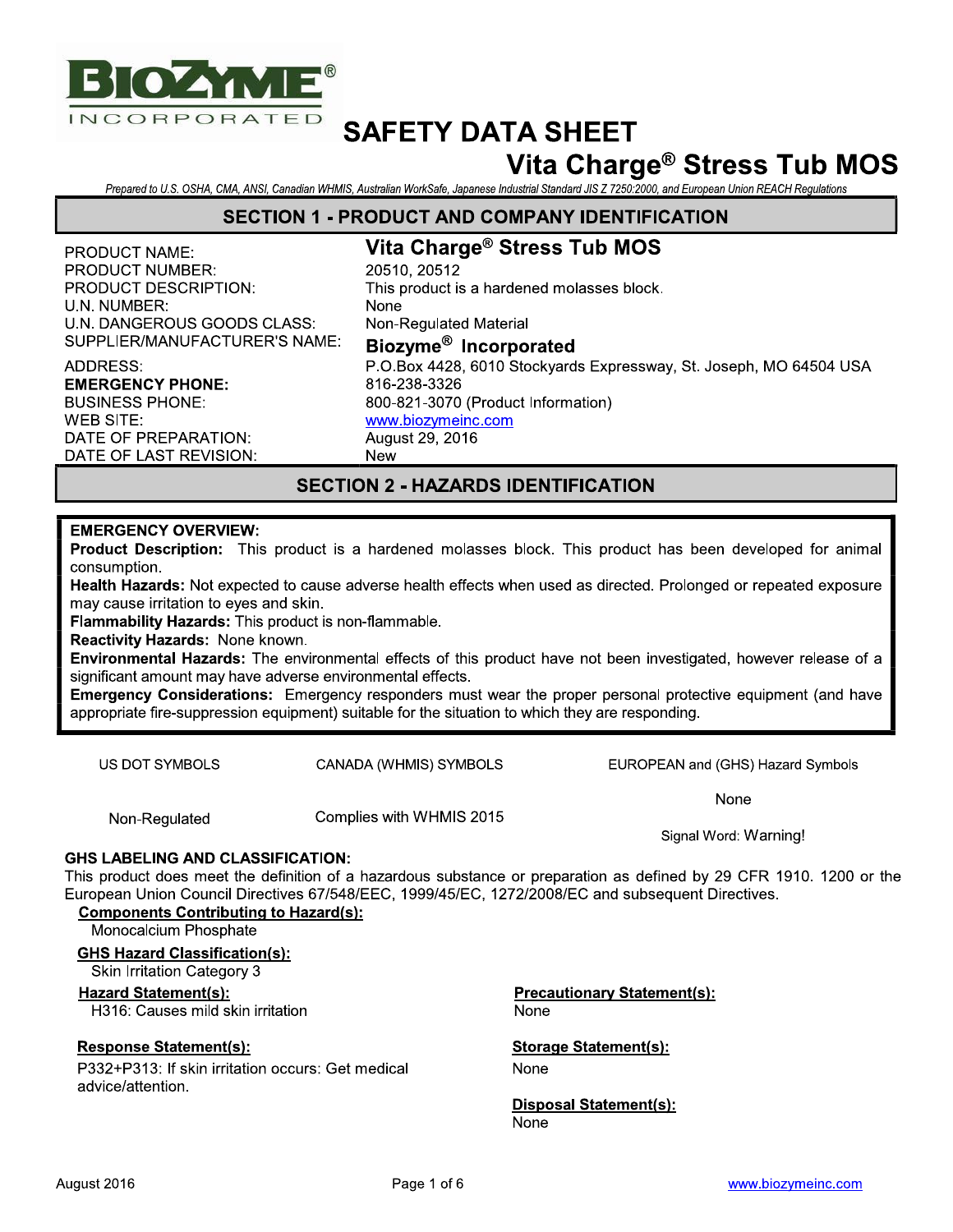

## Vita Charge® Stress Tub MOS

Prepared to U.S. OSHA, CMA, ANSI, Canadian WHMIS, Australian WorkSafe, Japanese Industrial Standard JIS Z 7250:2000, and European Union REACH Regulations

#### **SECTION 1 - PRODUCT AND COMPANY IDENTIFICATION**

#### **PRODUCT NAME: PRODUCT NUMBER:** PRODUCT DESCRIPTION: U.N. NUMBER: U.N. DANGEROUS GOODS CLASS: SUPPLIER/MANUFACTURER'S NAME:

#### **ADDRESS: EMERGENCY PHONE: BUSINESS PHONE: WEB SITE:** DATE OF PREPARATION: DATE OF LAST REVISION:

#### Vita Charge® Stress Tub MOS 20510, 20512 This product is a hardened molasses block. **None** Non-Regulated Material Biozyme<sup>®</sup> Incorporated P.O.Box 4428, 6010 Stockyards Expressway, St. Joseph, MO 64504 USA 816-238-3326 800-821-3070 (Product Information) www.biozymeinc.com August 29, 2016 **New**

#### **SECTION 2 - HAZARDS IDENTIFICATION**

#### **EMERGENCY OVERVIEW:**

Product Description: This product is a hardened molasses block. This product has been developed for animal consumption.

Health Hazards: Not expected to cause adverse health effects when used as directed. Prolonged or repeated exposure may cause irritation to eyes and skin.

Flammability Hazards: This product is non-flammable.

Reactivity Hazards: None known.

Environmental Hazards: The environmental effects of this product have not been investigated, however release of a significant amount may have adverse environmental effects.

Emergency Considerations: Emergency responders must wear the proper personal protective equipment (and have appropriate fire-suppression equipment) suitable for the situation to which they are responding.

**US DOT SYMBOLS** 

CANADA (WHMIS) SYMBOLS

EUROPEAN and (GHS) Hazard Symbols

None

Signal Word: Warning!

### Non-Regulated

Complies with WHMIS 2015

#### **GHS LABELING AND CLASSIFICATION:**

This product does meet the definition of a hazardous substance or preparation as defined by 29 CFR 1910. 1200 or the European Union Council Directives 67/548/EEC, 1999/45/EC, 1272/2008/EC and subsequent Directives.

#### **Components Contributing to Hazard(s):**

Monocalcium Phosphate

#### **GHS Hazard Classification(s):**

**Skin Irritation Category 3** 

#### Hazard Statement(s):

H316: Causes mild skin irritation

#### **Response Statement(s):**

P332+P313: If skin irritation occurs: Get medical advice/attention.

**Precautionary Statement(s):** None

**Storage Statement(s):** 

None

**Disposal Statement(s):** None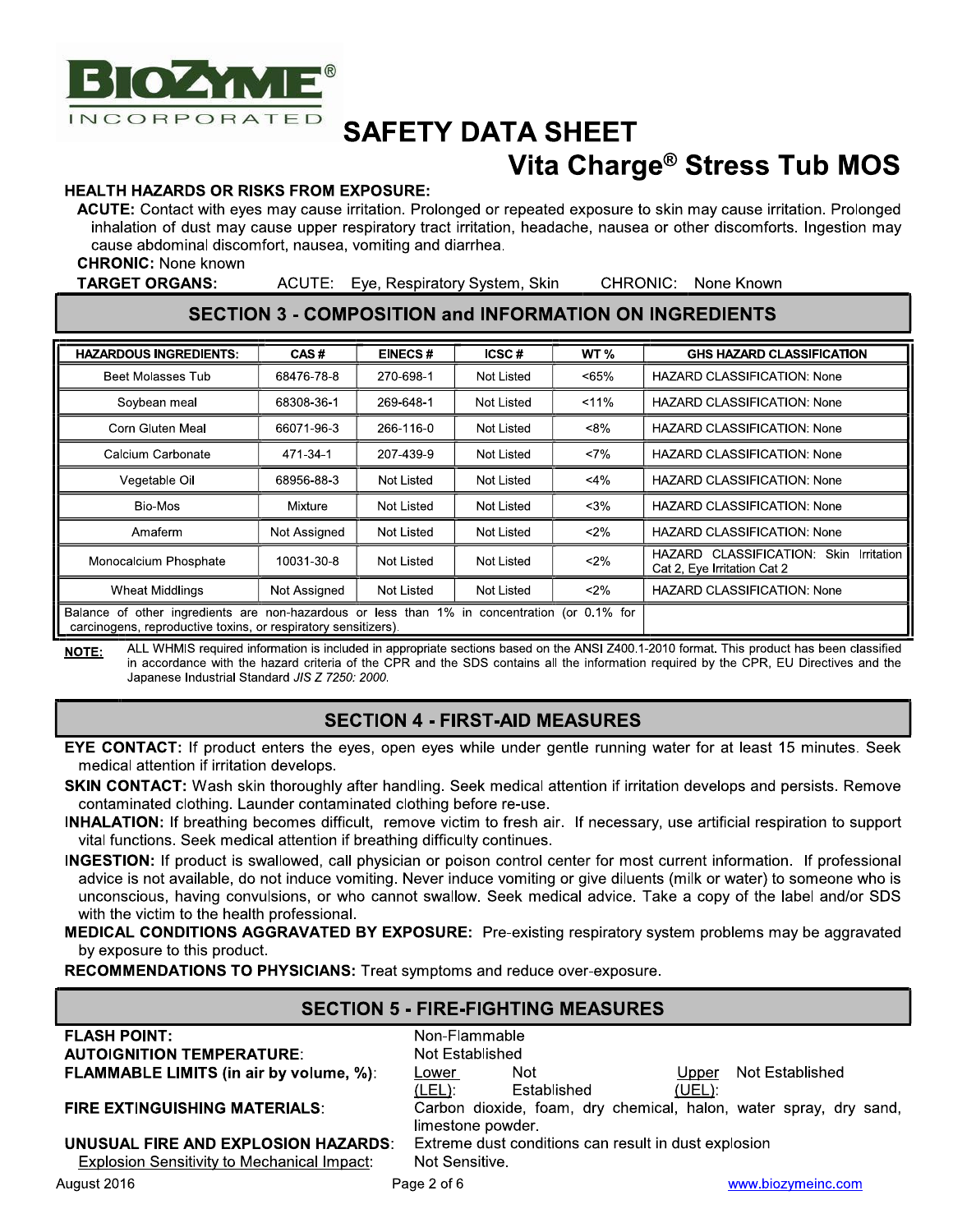

# Vita Charge® Stress Tub MOS

#### **HEALTH HAZARDS OR RISKS FROM EXPOSURE:**

ACUTE: Contact with eves may cause irritation. Prolonged or repeated exposure to skin may cause irritation. Prolonged inhalation of dust may cause upper respiratory tract irritation, headache, nausea or other discomforts. Ingestion may cause abdominal discomfort, nausea, vomiting and diarrhea.

**CHRONIC:** None known

**TARGET ORGANS:** 

ACUTE: Eye, Respiratory System, Skin

CHRONIC: None Known

#### **SECTION 3 - COMPOSITION and INFORMATION ON INGREDIENTS**

| <b>HAZARDOUS INGREDIENTS:</b>                                                                                                                                  | CAS#         | <b>EINECS#</b> | ICSC#      | WT <sub>%</sub> | <b>GHS HAZARD CLASSIFICATION</b>                                               |
|----------------------------------------------------------------------------------------------------------------------------------------------------------------|--------------|----------------|------------|-----------------|--------------------------------------------------------------------------------|
| Beet Molasses Tub                                                                                                                                              | 68476-78-8   | 270-698-1      | Not Listed | <65%            | <b>HAZARD CLASSIFICATION: None</b>                                             |
| Soybean meal                                                                                                                                                   | 68308-36-1   | 269-648-1      | Not Listed | < 11%           | <b>HAZARD CLASSIFICATION: None</b>                                             |
| Corn Gluten Meal                                                                                                                                               | 66071-96-3   | 266-116-0      | Not Listed | $< 8\%$         | <b>HAZARD CLASSIFICATION: None</b>                                             |
| Calcium Carbonate                                                                                                                                              | 471-34-1     | 207-439-9      | Not Listed | $<7\%$          | <b>HAZARD CLASSIFICATION: None</b>                                             |
| Vegetable Oil                                                                                                                                                  | 68956-88-3   | Not Listed     | Not Listed | $<$ 4%          | HAZARD CLASSIFICATION: None                                                    |
| Bio-Mos                                                                                                                                                        | Mixture      | Not Listed     | Not Listed | $<$ 3%          | <b>HAZARD CLASSIFICATION: None</b>                                             |
| Amaferm                                                                                                                                                        | Not Assigned | Not Listed     | Not Listed | $2\%$           | HAZARD CLASSIFICATION: None                                                    |
| Monocalcium Phosphate                                                                                                                                          | 10031-30-8   | Not Listed     | Not Listed | $2\%$           | CLASSIFICATION:<br>Irritation<br>Skin<br>HAZARD<br>Cat 2, Eye Irritation Cat 2 |
| Wheat Middlings                                                                                                                                                | Not Assigned | Not Listed     | Not Listed | $< 2\%$         | <b>HAZARD CLASSIFICATION: None</b>                                             |
| Balance of other ingredients are non-hazardous or less than 1% in concentration (or 0.1% for<br>carcinogens, reproductive toxins, or respiratory sensitizers). |              |                |            |                 |                                                                                |

ALL WHMIS required information is included in appropriate sections based on the ANSI Z400.1-2010 format. This product has been classified NOTE: in accordance with the hazard criteria of the CPR and the SDS contains all the information required by the CPR, EU Directives and the Japanese Industrial Standard JIS Z 7250: 2000.

#### **SECTION 4 - FIRST-AID MEASURES**

- EYE CONTACT: If product enters the eyes, open eyes while under gentle running water for at least 15 minutes. Seek medical attention if irritation develops.
- SKIN CONTACT: Wash skin thoroughly after handling. Seek medical attention if irritation develops and persists. Remove contaminated clothing. Launder contaminated clothing before re-use.
- INHALATION: If breathing becomes difficult, remove victim to fresh air. If necessary, use artificial respiration to support vital functions. Seek medical attention if breathing difficulty continues.
- INGESTION: If product is swallowed, call physician or poison control center for most current information. If professional advice is not available, do not induce vomiting. Never induce vomiting or give diluents (milk or water) to someone who is unconscious, having convulsions, or who cannot swallow. Seek medical advice. Take a copy of the label and/or SDS with the victim to the health professional.
- MEDICAL CONDITIONS AGGRAVATED BY EXPOSURE: Pre-existing respiratory system problems may be aggravated by exposure to this product.

RECOMMENDATIONS TO PHYSICIANS: Treat symptoms and reduce over-exposure.

| <b>SECTION 5 - FIRE-FIGHTING MEASURES</b>          |                                                                   |  |  |  |  |
|----------------------------------------------------|-------------------------------------------------------------------|--|--|--|--|
| <b>FLASH POINT:</b>                                | Non-Flammable                                                     |  |  |  |  |
| <b>AUTOIGNITION TEMPERATURE:</b>                   | Not Established                                                   |  |  |  |  |
| <b>FLAMMABLE LIMITS (in air by volume, %):</b>     | Not Established<br><b>Not</b><br>Upper<br>Lower                   |  |  |  |  |
|                                                    | Established<br>$(LEL)$ :<br><u>(UEL):</u>                         |  |  |  |  |
| <b>FIRE EXTINGUISHING MATERIALS:</b>               | Carbon dioxide, foam, dry chemical, halon, water spray, dry sand, |  |  |  |  |
|                                                    | limestone powder.                                                 |  |  |  |  |
| UNUSUAL FIRE AND EXPLOSION HAZARDS:                | Extreme dust conditions can result in dust explosion              |  |  |  |  |
| <b>Explosion Sensitivity to Mechanical Impact:</b> | Not Sensitive.                                                    |  |  |  |  |
| $\Lambda$ uquot 2016                               | $D_{200}$ $\Omega_{\rm eff}$ $\Omega$<br>usus biorumoine com      |  |  |  |  |

Page 2 of 6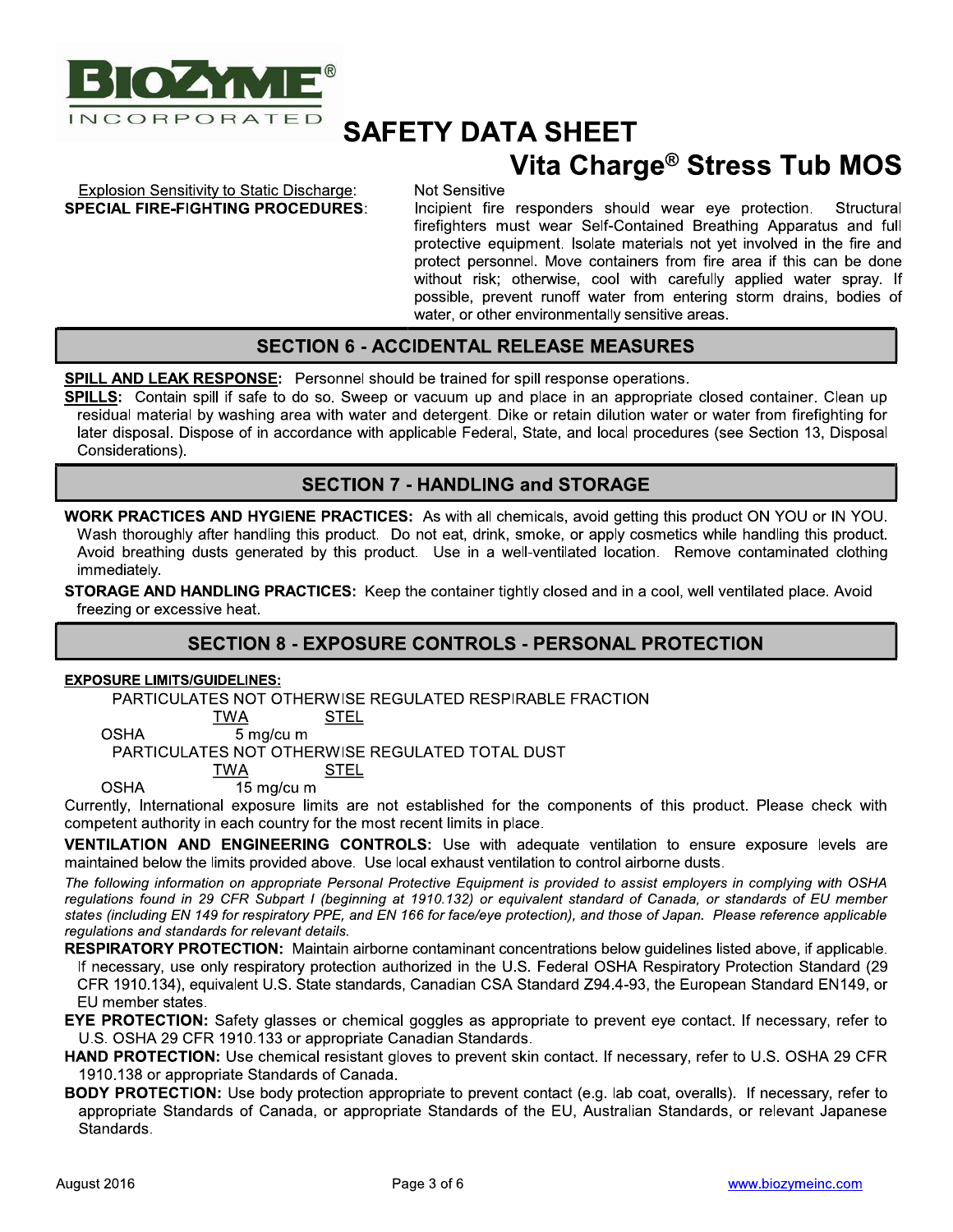

# Vita Charge® Stress Tub MOS

**Explosion Sensitivity to Static Discharge: SPECIAL FIRE-FIGHTING PROCEDURES:**  Not Sensitive

Incipient fire responders should wear eye protection. Structural firefighters must wear Self-Contained Breathing Apparatus and full protective equipment. Isolate materials not yet involved in the fire and protect personnel. Move containers from fire area if this can be done without risk; otherwise, cool with carefully applied water spray. If possible, prevent runoff water from entering storm drains, bodies of water, or other environmentally sensitive areas.

#### **SECTION 6 - ACCIDENTAL RELEASE MEASURES**

**SPILL AND LEAK RESPONSE:** Personnel should be trained for spill response operations.

SPILLS: Contain spill if safe to do so. Sweep or vacuum up and place in an appropriate closed container. Clean up residual material by washing area with water and detergent. Dike or retain dilution water or water from firefighting for later disposal. Dispose of in accordance with applicable Federal, State, and local procedures (see Section 13, Disposal Considerations).

#### **SECTION 7 - HANDLING and STORAGE**

**WORK PRACTICES AND HYGIENE PRACTICES:** As with all chemicals, avoid getting this product ON YOU or IN YOU. Wash thoroughly after handling this product. Do not eat, drink, smoke, or apply cosmetics while handling this product. Avoid breathing dusts generated by this product. Use in a well-ventilated location. Remove contaminated clothing immediately.

**STORAGE AND HANDLING PRACTICES:** Keep the container tightly closed and in a cool, well ventilated place. Avoid freezing or excessive heat.

#### **SECTION 8 - EXPOSURE CONTROLS - PERSONAL PROTECTION**

#### **EXPOSURE LIMITS/GUIDELINES:**

PARTICULATES NOT OTHERWISE REGULATED RESPIRABLE FRACTION

**TWA STEL OSHA** 5 mg/cu m

PARTICULATES NOT OTHERWISE REGULATED TOTAL DUST

**TWA STEL** 

**OSHA** 15 mg/cu m

Currently, International exposure limits are not established for the components of this product. Please check with competent authority in each country for the most recent limits in place.

VENTILATION AND ENGINEERING CONTROLS: Use with adequate ventilation to ensure exposure levels are maintained below the limits provided above. Use local exhaust ventilation to control airborne dusts.

The following information on appropriate Personal Protective Equipment is provided to assist employers in complying with OSHA regulations found in 29 CFR Subpart I (beginning at 1910.132) or equivalent standard of Canada, or standards of EU member states (including EN 149 for respiratory PPE, and EN 166 for face/eye protection), and those of Japan. Please reference applicable regulations and standards for relevant details.

RESPIRATORY PROTECTION: Maintain airborne contaminant concentrations below guidelines listed above, if applicable. If necessary, use only respiratory protection authorized in the U.S. Federal OSHA Respiratory Protection Standard (29 CFR 1910.134), equivalent U.S. State standards, Canadian CSA Standard Z94.4-93, the European Standard EN149, or EU member states.

**EYE PROTECTION:** Safety glasses or chemical goggles as appropriate to prevent eye contact. If necessary, refer to U.S. OSHA 29 CFR 1910.133 or appropriate Canadian Standards.

- HAND PROTECTION: Use chemical resistant gloves to prevent skin contact. If necessary, refer to U.S. OSHA 29 CFR 1910.138 or appropriate Standards of Canada.
- **BODY PROTECTION:** Use body protection appropriate to prevent contact (e.g. lab coat, overalls). If necessary, refer to appropriate Standards of Canada, or appropriate Standards of the EU, Australian Standards, or relevant Japanese Standards.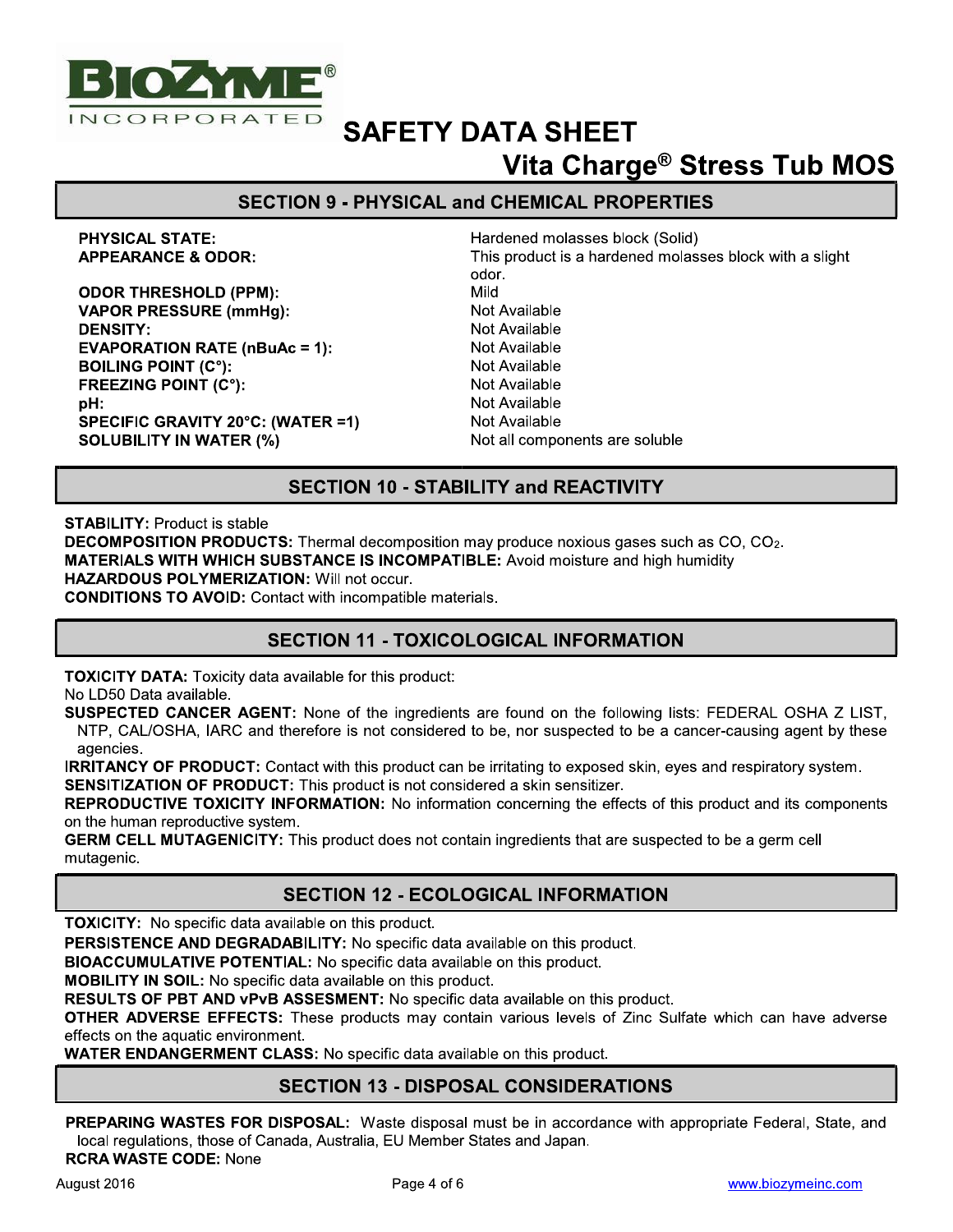

# **SAFETY DATA SHEET** Vita Charge® Stress Tub MOS

### **SECTION 9 - PHYSICAL and CHEMICAL PROPERTIES**

**PHYSICAL STATE: APPEARANCE & ODOR:** 

**ODOR THRESHOLD (PPM): VAPOR PRESSURE (mmHg): DENSITY: EVAPORATION RATE (nBuAc = 1): BOILING POINT (C°): FREEZING POINT (C°):** pH: **SPECIFIC GRAVITY 20°C: (WATER =1) SOLUBILITY IN WATER (%)** 

Hardened molasses block (Solid) This product is a hardened molasses block with a slight odor. Mild Not Available Not Available Not Available **Not Available** Not Available Not Available Not Available Not all components are soluble

#### **SECTION 10 - STABILITY and REACTIVITY**

**STABILITY: Product is stable** 

**DECOMPOSITION PRODUCTS:** Thermal decomposition may produce noxious gases such as CO, CO<sub>2</sub>. **MATERIALS WITH WHICH SUBSTANCE IS INCOMPATIBLE:** Avoid moisture and high humidity **HAZARDOUS POLYMERIZATION: Will not occur.** 

**CONDITIONS TO AVOID:** Contact with incompatible materials.

#### **SECTION 11 - TOXICOLOGICAL INFORMATION**

**TOXICITY DATA:** Toxicity data available for this product:

No LD50 Data available.

SUSPECTED CANCER AGENT: None of the ingredients are found on the following lists: FEDERAL OSHA Z LIST. NTP, CAL/OSHA, IARC and therefore is not considered to be, nor suspected to be a cancer-causing agent by these agencies.

**IRRITANCY OF PRODUCT:** Contact with this product can be irritating to exposed skin, eyes and respiratory system. **SENSITIZATION OF PRODUCT:** This product is not considered a skin sensitizer.

**REPRODUCTIVE TOXICITY INFORMATION:** No information concerning the effects of this product and its components on the human reproductive system.

GERM CELL MUTAGENICITY: This product does not contain ingredients that are suspected to be a germ cell mutagenic.

#### **SECTION 12 - ECOLOGICAL INFORMATION**

**TOXICITY:** No specific data available on this product.

PERSISTENCE AND DEGRADABILITY: No specific data available on this product.

**BIOACCUMULATIVE POTENTIAL:** No specific data available on this product.

**MOBILITY IN SOIL:** No specific data available on this product.

RESULTS OF PBT AND vPvB ASSESMENT: No specific data available on this product.

OTHER ADVERSE EFFECTS: These products may contain various levels of Zinc Sulfate which can have adverse effects on the aquatic environment.

WATER ENDANGERMENT CLASS: No specific data available on this product.

#### **SECTION 13 - DISPOSAL CONSIDERATIONS**

PREPARING WASTES FOR DISPOSAL: Waste disposal must be in accordance with appropriate Federal, State, and local regulations, those of Canada, Australia, EU Member States and Japan. **RCRA WASTE CODE: None**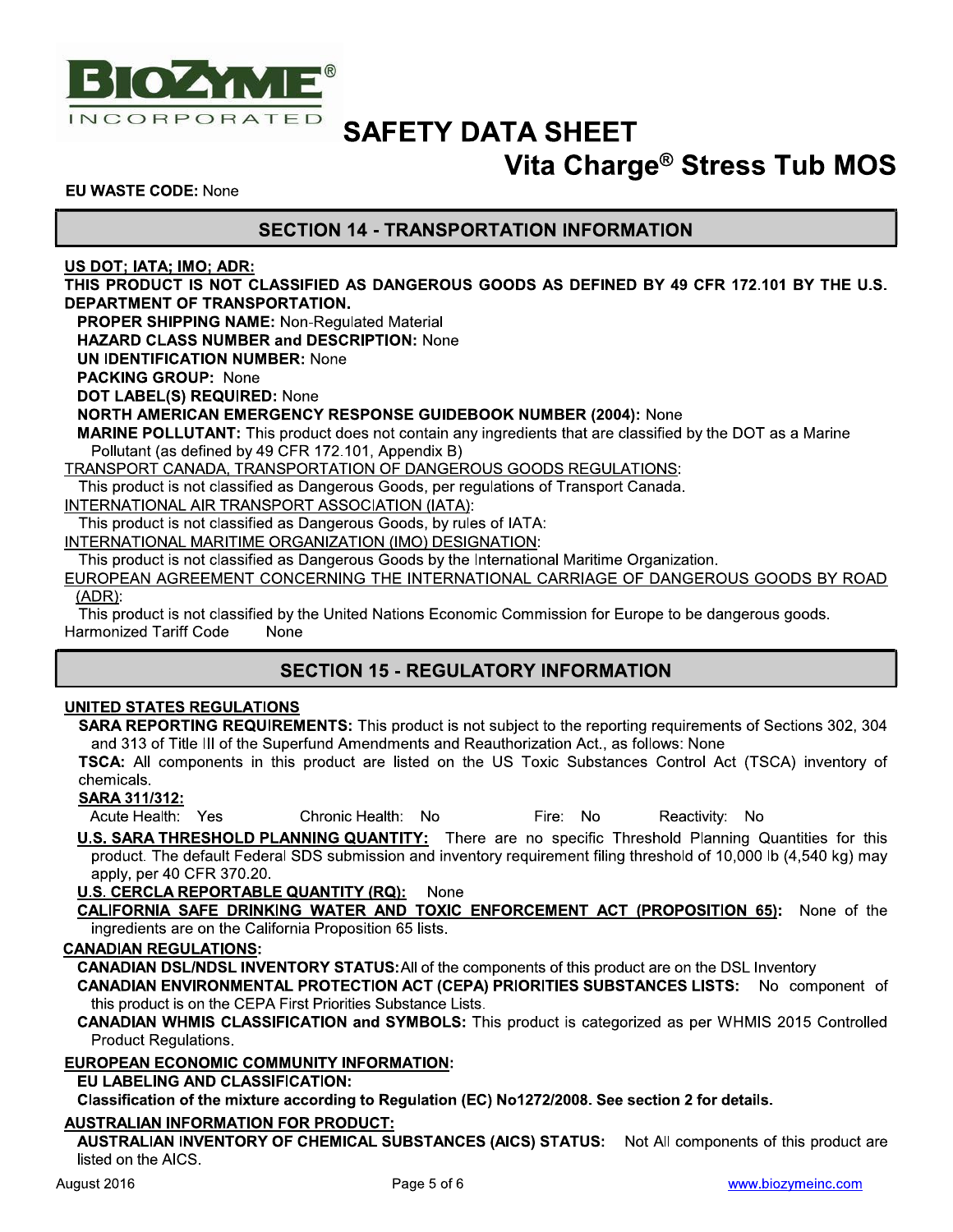

## Vita Charge® Stress Tub MOS

Reactivity: No

**EU WASTE CODE: None** 

#### **SECTION 14 - TRANSPORTATION INFORMATION**

US DOT; IATA; IMO; ADR:

THIS PRODUCT IS NOT CLASSIFIED AS DANGEROUS GOODS AS DEFINED BY 49 CFR 172.101 BY THE U.S. DEPARTMENT OF TRANSPORTATION.

**PROPER SHIPPING NAME: Non-Regulated Material** 

HAZARD CLASS NUMBER and DESCRIPTION: None

**UN IDENTIFICATION NUMBER: None** 

**PACKING GROUP: None** 

DOT LABEL(S) REQUIRED: None

**NORTH AMERICAN EMERGENCY RESPONSE GUIDEBOOK NUMBER (2004): None** 

**MARINE POLLUTANT:** This product does not contain any ingredients that are classified by the DOT as a Marine Pollutant (as defined by 49 CFR 172.101, Appendix B)

**TRANSPORT CANADA, TRANSPORTATION OF DANGEROUS GOODS REGULATIONS:** 

This product is not classified as Dangerous Goods, per regulations of Transport Canada.

INTERNATIONAL AIR TRANSPORT ASSOCIATION (IATA):

This product is not classified as Dangerous Goods, by rules of IATA:

INTERNATIONAL MARITIME ORGANIZATION (IMO) DESIGNATION:

This product is not classified as Dangerous Goods by the International Maritime Organization.

EUROPEAN AGREEMENT CONCERNING THE INTERNATIONAL CARRIAGE OF DANGEROUS GOODS BY ROAD  $(ADR):$ 

This product is not classified by the United Nations Economic Commission for Europe to be dangerous goods. **Harmonized Tariff Code** None

#### **SECTION 15 - REGULATORY INFORMATION**

#### **UNITED STATES REGULATIONS**

**SARA REPORTING REQUIREMENTS:** This product is not subject to the reporting requirements of Sections 302, 304 and 313 of Title III of the Superfund Amendments and Reauthorization Act., as follows: None

TSCA: All components in this product are listed on the US Toxic Substances Control Act (TSCA) inventory of chemicals.

**SARA 311/312:** 

Acute Health: Yes Chronic Health: No Fire: No

U.S. SARA THRESHOLD PLANNING QUANTITY: There are no specific Threshold Planning Quantities for this product. The default Federal SDS submission and inventory requirement filing threshold of 10,000 lb (4,540 kg) may apply, per 40 CFR 370.20.

U.S. CERCLA REPORTABLE QUANTITY (RQ): None

CALIFORNIA SAFE DRINKING WATER AND TOXIC ENFORCEMENT ACT (PROPOSITION 65): None of the ingredients are on the California Proposition 65 lists.

#### **CANADIAN REGULATIONS:**

**CANADIAN DSL/NDSL INVENTORY STATUS:** All of the components of this product are on the DSL Inventory

CANADIAN ENVIRONMENTAL PROTECTION ACT (CEPA) PRIORITIES SUBSTANCES LISTS: No component of this product is on the CEPA First Priorities Substance Lists.

**CANADIAN WHMIS CLASSIFICATION and SYMBOLS:** This product is categorized as per WHMIS 2015 Controlled Product Regulations.

#### **EUROPEAN ECONOMIC COMMUNITY INFORMATION:**

EU LABELING AND CLASSIFICATION:

Classification of the mixture according to Regulation (EC) No1272/2008. See section 2 for details.

**AUSTRALIAN INFORMATION FOR PRODUCT:** 

AUSTRALIAN INVENTORY OF CHEMICAL SUBSTANCES (AICS) STATUS: Not All components of this product are listed on the AICS.